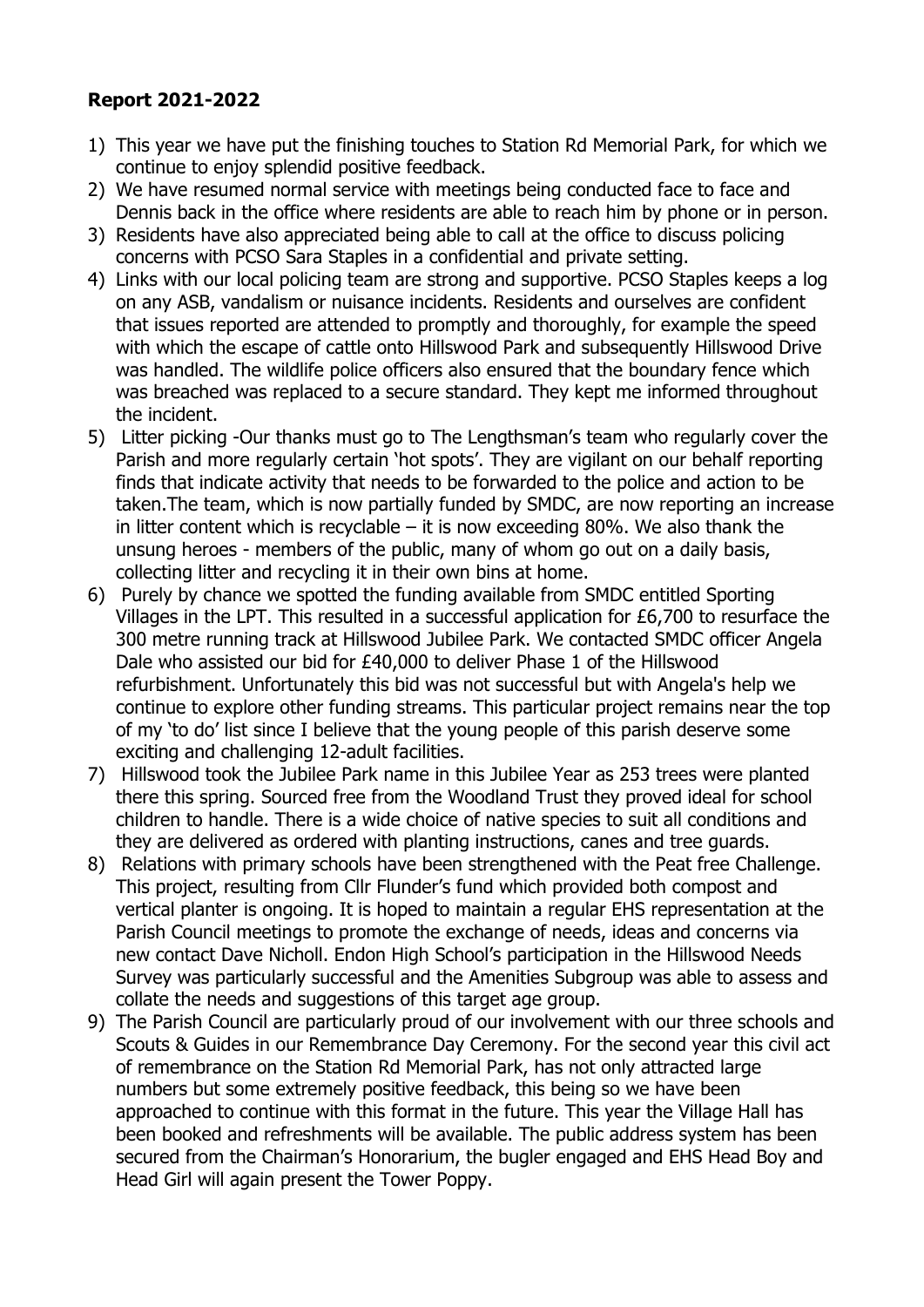## **Report 2021-2022**

- 1) This year we have put the finishing touches to Station Rd Memorial Park, for which we continue to enjoy splendid positive feedback.
- 2) We have resumed normal service with meetings being conducted face to face and Dennis back in the office where residents are able to reach him by phone or in person.
- 3) Residents have also appreciated being able to call at the office to discuss policing concerns with PCSO Sara Staples in a confidential and private setting.
- 4) Links with our local policing team are strong and supportive. PCSO Staples keeps a log on any ASB, vandalism or nuisance incidents. Residents and ourselves are confident that issues reported are attended to promptly and thoroughly, for example the speed with which the escape of cattle onto Hillswood Park and subsequently Hillswood Drive was handled. The wildlife police officers also ensured that the boundary fence which was breached was replaced to a secure standard. They kept me informed throughout the incident.
- 5) Litter picking -Our thanks must go to The Lengthsman's team who regularly cover the Parish and more regularly certain 'hot spots'. They are vigilant on our behalf reporting finds that indicate activity that needs to be forwarded to the police and action to be taken.The team, which is now partially funded by SMDC, are now reporting an increase in litter content which is recyclable  $-$  it is now exceeding 80%. We also thank the unsung heroes - members of the public, many of whom go out on a daily basis, collecting litter and recycling it in their own bins at home.
- 6) Purely by chance we spotted the funding available from SMDC entitled Sporting Villages in the LPT. This resulted in a successful application for £6,700 to resurface the 300 metre running track at Hillswood Jubilee Park. We contacted SMDC officer Angela Dale who assisted our bid for £40,000 to deliver Phase 1 of the Hillswood refurbishment. Unfortunately this bid was not successful but with Angela's help we continue to explore other funding streams. This particular project remains near the top of my 'to do' list since I believe that the young people of this parish deserve some exciting and challenging 12-adult facilities.
- 7) Hillswood took the Jubilee Park name in this Jubilee Year as 253 trees were planted there this spring. Sourced free from the Woodland Trust they proved ideal for school children to handle. There is a wide choice of native species to suit all conditions and they are delivered as ordered with planting instructions, canes and tree guards.
- 8) Relations with primary schools have been strengthened with the Peat free Challenge. This project, resulting from Cllr Flunder's fund which provided both compost and vertical planter is ongoing. It is hoped to maintain a regular EHS representation at the Parish Council meetings to promote the exchange of needs, ideas and concerns via new contact Dave Nicholl. Endon High School's participation in the Hillswood Needs Survey was particularly successful and the Amenities Subgroup was able to assess and collate the needs and suggestions of this target age group.
- 9) The Parish Council are particularly proud of our involvement with our three schools and Scouts & Guides in our Remembrance Day Ceremony. For the second year this civil act of remembrance on the Station Rd Memorial Park, has not only attracted large numbers but some extremely positive feedback, this being so we have been approached to continue with this format in the future. This year the Village Hall has been booked and refreshments will be available. The public address system has been secured from the Chairman's Honorarium, the bugler engaged and EHS Head Boy and Head Girl will again present the Tower Poppy.